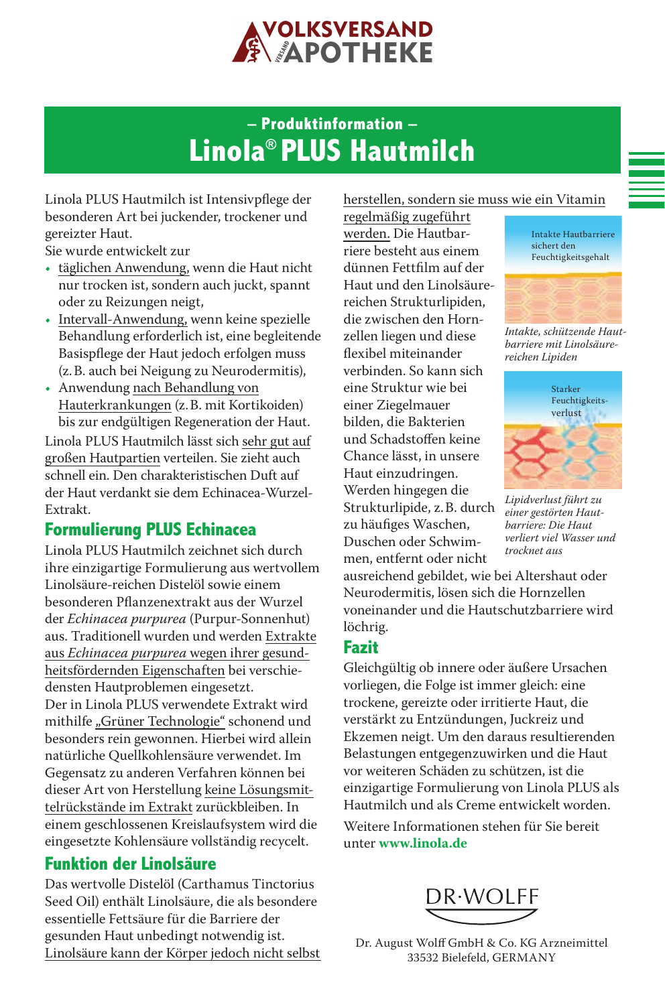

# **– Produktinformation – Linola® PLUS Hautmilch**

Linola PLUS Hautmilch ist Intensivpflege der besonderen Art bei juckender, trockener und gereizter Haut.

Sie wurde entwickelt zur

- täglichen Anwendung, wenn die Haut nicht nur trocken ist, sondern auch juckt, spannt oder zu Reizungen neigt,
- Intervall-Anwendung, wenn keine spezielle Behandlung erforderlich ist, eine begleitende Basispflege der Haut jedoch erfolgen muss (z.B. auch bei Neigung zu Neurodermitis),
- Anwendung nach Behandlung von Hauterkrankungen (z.B. mit Kortikoiden) bis zur endgültigen Regeneration der Haut.

Linola PLUS Hautmilch lässt sich sehr gut auf großen Hautpartien verteilen. Sie zieht auch schnell ein. Den charakteristischen Duft auf der Haut verdankt sie dem Echinacea-Wurzel-Extrakt.

### **Formulierung PLUS Echinacea**

Linola PLUS Hautmilch zeichnet sich durch ihre einzigartige Formulierung aus wertvollem Linolsäure-reichen Distelöl sowie einem besonderen Pflanzenextrakt aus der Wurzel der *Echinacea purpurea* (Purpur-Sonnenhut) aus. Traditionell wurden und werden Extrakte aus *Echinacea purpurea* wegen ihrer gesundheitsfördernden Eigenschaften bei verschiedensten Hautproblemen eingesetzt. Der in Linola PLUS verwendete Extrakt wird mithilfe "Grüner Technologie" schonend und besonders rein gewonnen. Hierbei wird allein natürliche Quellkohlensäure verwendet. Im Gegensatz zu anderen Verfahren können bei dieser Art von Herstellung keine Lösungsmittelrückstände im Extrakt zurückbleiben. In einem geschlossenen Kreislaufsystem wird die eingesetzte Kohlensäure vollständig recycelt.

### **Funktion der Linolsäure**

Das wertvolle Distelöl (Carthamus Tinctorius Seed Oil) enthält Linolsäure, die als besondere essentielle Fettsäure für die Barriere der gesunden Haut unbedingt notwendig ist. Linolsäure kann der Körper jedoch nicht selbst

#### herstellen, sondern sie muss wie ein Vitamin

regelmäßig zugeführt werden. Die Hautbarriere besteht aus einem dünnen Fettfilm auf der Haut und den Linolsäurereichen Strukturlipiden, die zwischen den Hornzellen liegen und diese flexibel miteinander verbinden. So kann sich eine Struktur wie bei einer Ziegelmauer bilden, die Bakterien und Schadstoffen keine Chance lässt, in unsere Haut einzudringen. Werden hingegen die Strukturlipide, z.B. durch zu häufiges Waschen, Duschen oder Schwimmen, entfernt oder nicht

Intakte Hautbarriere sichert den Feuchtigkeitsgehalt



*Intakte, schützende Hautbarriere mit Linolsäurereichen Lipiden*



*Lipidverlust führt zu einer gestörten Hautbarriere: Die Haut verliert viel Wasser und trocknet aus*

ausreichend gebildet, wie bei Altershaut oder Neurodermitis, lösen sich die Hornzellen voneinander und die Hautschutzbarriere wird löchrig.

### **Fazit**

Gleichgültig ob innere oder äußere Ursachen vorliegen, die Folge ist immer gleich: eine trockene, gereizte oder irritierte Haut, die verstärkt zu Entzündungen, Juckreiz und Ekzemen neigt. Um den daraus resultierenden Belastungen entgegenzuwirken und die Haut vor weiteren Schäden zu schützen, ist die einzigartige Formulierung von Linola PLUS als Hautmilch und als Creme entwickelt worden.

Weitere Informationen stehen für Sie bereit unter **www.linola.de**



Dr. August Wolff GmbH & Co. KG Arzneimittel 33532 Bielefeld, GERMANY